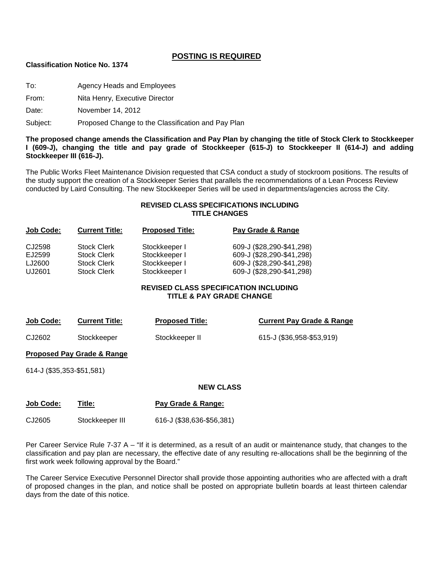#### **POSTING IS REQUIRED**

#### **Classification Notice No. 1374**

To: Agency Heads and Employees

From: Nita Henry, Executive Director

Date: November 14, 2012

Subject: Proposed Change to the Classification and Pay Plan

**The proposed change amends the Classification and Pay Plan by changing the title of Stock Clerk to Stockkeeper I (609-J), changing the title and pay grade of Stockkeeper (615-J) to Stockkeeper II (614-J) and adding Stockkeeper III (616-J).**

The Public Works Fleet Maintenance Division requested that CSA conduct a study of stockroom positions. The results of the study support the creation of a Stockkeeper Series that parallels the recommendations of a Lean Process Review conducted by Laird Consulting. The new Stockkeeper Series will be used in departments/agencies across the City.

#### **REVISED CLASS SPECIFICATIONS INCLUDING TITLE CHANGES**

| Job Code: | <b>Current Title:</b> | <b>Proposed Title:</b> | Pay Grade & Range         |
|-----------|-----------------------|------------------------|---------------------------|
| CJ2598    | <b>Stock Clerk</b>    | Stockkeeper I          | 609-J (\$28,290-\$41,298) |
| EJ2599    | <b>Stock Clerk</b>    | Stockkeeper I          | 609-J (\$28,290-\$41,298) |
| LJ2600    | <b>Stock Clerk</b>    | Stockkeeper I          | 609-J (\$28,290-\$41,298) |
| UJ2601    | <b>Stock Clerk</b>    | Stockkeeper I          | 609-J (\$28,290-\$41,298) |
|           |                       |                        |                           |

#### **REVISED CLASS SPECIFICATION INCLUDING TITLE & PAY GRADE CHANGE**

| Job Code: | <b>Current Title:</b> | <b>Proposed Title:</b> | <b>Current Pay Grade &amp; Range</b> |
|-----------|-----------------------|------------------------|--------------------------------------|
| CJ2602    | Stockkeeper           | Stockkeeper II         | 615-J (\$36,958-\$53,919)            |

**Proposed Pay Grade & Range**

614-J (\$35,353-\$51,581)

#### **NEW CLASS**

| <b>Job Code:</b> | Title:          | Pay Grade & Range:        |
|------------------|-----------------|---------------------------|
| CJ2605           | Stockkeeper III | 616-J (\$38,636-\$56,381) |

Per Career Service Rule 7-37 A – "If it is determined, as a result of an audit or maintenance study, that changes to the classification and pay plan are necessary, the effective date of any resulting re-allocations shall be the beginning of the first work week following approval by the Board."

The Career Service Executive Personnel Director shall provide those appointing authorities who are affected with a draft of proposed changes in the plan, and notice shall be posted on appropriate bulletin boards at least thirteen calendar days from the date of this notice.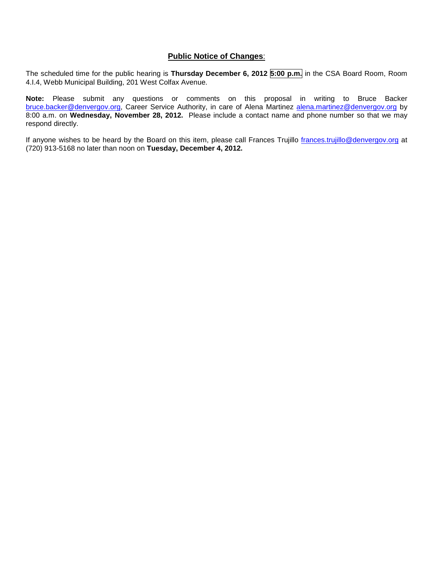#### **Public Notice of Changes**:

The scheduled time for the public hearing is **Thursday December 6, 2012 5:00 p.m.** in the CSA Board Room, Room 4.I.4, Webb Municipal Building, 201 West Colfax Avenue.

**Note:** Please submit any questions or comments on this proposal in writing to Bruce Backer [bruce.backer@denvergov.org,](mailto:bruce.backer@denvergov.org) Career Service Authority, in care of Alena Martinez [alena.martinez@denvergov.org](mailto:alena.martinez@denvergov.org) by 8:00 a.m. on **Wednesday, November 28, 2012.** Please include a contact name and phone number so that we may respond directly.

If anyone wishes to be heard by the Board on this item, please call Frances Trujillo [frances.trujillo@denvergov.org](mailto:frances.trujillo@denvergov.org) at (720) 913-5168 no later than noon on **Tuesday, December 4, 2012.**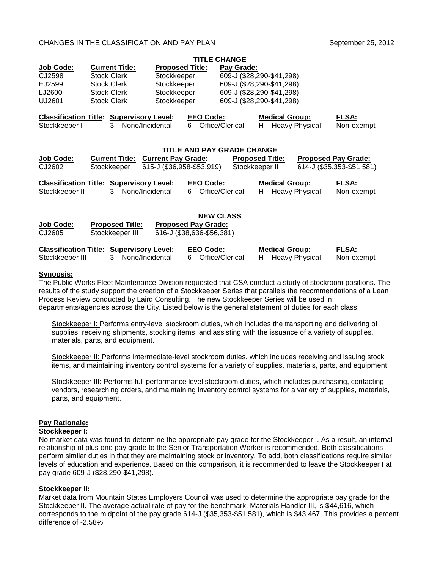#### CHANGES IN THE CLASSIFICATION AND PAY PLAN

|                  |                                                 |                           | <b>TITLE CHANGE</b>        |            |                           |                            |
|------------------|-------------------------------------------------|---------------------------|----------------------------|------------|---------------------------|----------------------------|
| <b>Job Code:</b> | <b>Current Title:</b>                           | <b>Proposed Title:</b>    |                            | Pay Grade: |                           |                            |
| CJ2598           | <b>Stock Clerk</b>                              | Stockkeeper I             |                            |            | 609-J (\$28,290-\$41,298) |                            |
| EJ2599           | <b>Stock Clerk</b>                              | Stockkeeper I             |                            |            | 609-J (\$28,290-\$41,298) |                            |
| LJ2600           | <b>Stock Clerk</b>                              | Stockkeeper I             |                            |            | 609-J (\$28,290-\$41,298) |                            |
| UJ2601           | <b>Stock Clerk</b>                              | Stockkeeper I             |                            |            | 609-J (\$28,290-\$41,298) |                            |
|                  |                                                 |                           |                            |            |                           |                            |
|                  | <b>Classification Title: Supervisory Level:</b> |                           | <b>EEO Code:</b>           |            | <b>Medical Group:</b>     | <b>FLSA:</b>               |
| Stockkeeper I    |                                                 | 3 - None/Incidental       | 6 - Office/Clerical        |            | H - Heavy Physical        | Non-exempt                 |
|                  |                                                 |                           |                            |            |                           |                            |
|                  |                                                 |                           | TITLE AND PAY GRADE CHANGE |            |                           |                            |
| <b>Job Code:</b> | <b>Current Title:</b>                           | <b>Current Pay Grade:</b> |                            |            | <b>Proposed Title:</b>    | <b>Proposed Pay Grade:</b> |
| CJ2602           | Stockkeeper                                     | 615-J (\$36,958-\$53,919) |                            |            | Stockkeeper II            | 614-J (\$35,353-\$51,581)  |
|                  |                                                 |                           |                            |            |                           |                            |
|                  | <b>Classification Title: Supervisory Level:</b> |                           | <b>EEO Code:</b>           |            | <b>Medical Group:</b>     | <u>FLSA:</u>               |
| Stockkeeper II   |                                                 | 3 - None/Incidental       | 6 - Office/Clerical        |            | H - Heavy Physical        | Non-exempt                 |
|                  |                                                 |                           |                            |            |                           |                            |
|                  |                                                 |                           |                            |            |                           |                            |
|                  |                                                 |                           | <b>NEW CLASS</b>           |            |                           |                            |
| <b>Job Code:</b> | <b>Proposed Title:</b>                          |                           | <b>Proposed Pay Grade:</b> |            |                           |                            |
| CJ2605           | Stockkeeper III                                 |                           | 616-J (\$38,636-\$56,381)  |            |                           |                            |

| <b>Classification Title: Supervisory Level:</b> |                     | <b>EEO Code:</b>    | <b>Medical Group:</b> | <b>FLSA:</b> |
|-------------------------------------------------|---------------------|---------------------|-----------------------|--------------|
| Stockkeeper III                                 | 3 – None/Incidental | 6 – Office/Clerical | H - Heavy Physical    | Non-exempt   |

#### **Synopsis:**

The Public Works Fleet Maintenance Division requested that CSA conduct a study of stockroom positions. The results of the study support the creation of a Stockkeeper Series that parallels the recommendations of a Lean Process Review conducted by Laird Consulting. The new Stockkeeper Series will be used in departments/agencies across the City. Listed below is the general statement of duties for each class:

Stockkeeper I: Performs entry-level stockroom duties, which includes the transporting and delivering of supplies, receiving shipments, stocking items, and assisting with the issuance of a variety of supplies, materials, parts, and equipment.

Stockkeeper II: Performs intermediate-level stockroom duties, which includes receiving and issuing stock items, and maintaining inventory control systems for a variety of supplies, materials, parts, and equipment.

Stockkeeper III: Performs full performance level stockroom duties, which includes purchasing, contacting vendors, researching orders, and maintaining inventory control systems for a variety of supplies, materials, parts, and equipment.

#### **Pay Rationale:**

#### **Stockkeeper I:**

No market data was found to determine the appropriate pay grade for the Stockkeeper I. As a result, an internal relationship of plus one pay grade to the Senior Transportation Worker is recommended. Both classifications perform similar duties in that they are maintaining stock or inventory. To add, both classifications require similar levels of education and experience. Based on this comparison, it is recommended to leave the Stockkeeper I at pay grade 609-J (\$28,290-\$41,298).

#### **Stockkeeper II:**

Market data from Mountain States Employers Council was used to determine the appropriate pay grade for the Stockkeeper II. The average actual rate of pay for the benchmark, Materials Handler III, is \$44,616, which corresponds to the midpoint of the pay grade 614-J (\$35,353-\$51,581), which is \$43,467. This provides a percent difference of -2.58%.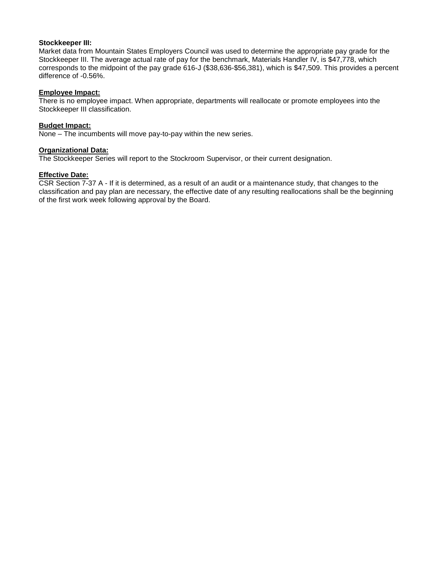#### **Stockkeeper III:**

Market data from Mountain States Employers Council was used to determine the appropriate pay grade for the Stockkeeper III. The average actual rate of pay for the benchmark, Materials Handler IV, is \$47,778, which corresponds to the midpoint of the pay grade 616-J (\$38,636-\$56,381), which is \$47,509. This provides a percent difference of -0.56%.

#### **Employee Impact:**

There is no employee impact. When appropriate, departments will reallocate or promote employees into the Stockkeeper III classification.

#### **Budget Impact:**

None – The incumbents will move pay-to-pay within the new series.

#### **Organizational Data:**

The Stockkeeper Series will report to the Stockroom Supervisor, or their current designation.

#### **Effective Date:**

CSR Section 7-37 A - If it is determined, as a result of an audit or a maintenance study, that changes to the classification and pay plan are necessary, the effective date of any resulting reallocations shall be the beginning of the first work week following approval by the Board.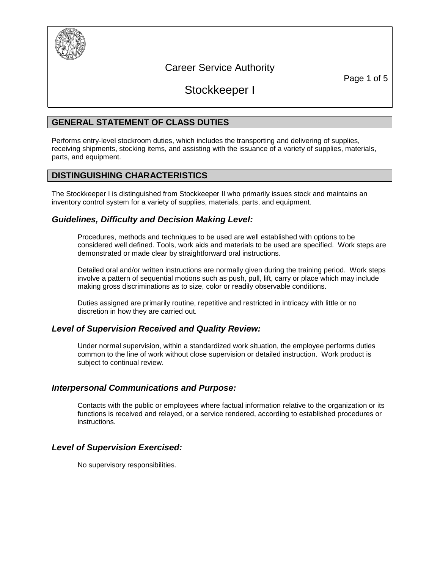

# Career Service Authority

Page 1 of 5

Stockkeeper I

## **GENERAL STATEMENT OF CLASS DUTIES**

Performs entry-level stockroom duties, which includes the transporting and delivering of supplies, receiving shipments, stocking items, and assisting with the issuance of a variety of supplies, materials, parts, and equipment.

## **DISTINGUISHING CHARACTERISTICS**

The Stockkeeper I is distinguished from Stockkeeper II who primarily issues stock and maintains an inventory control system for a variety of supplies, materials, parts, and equipment.

## *Guidelines, Difficulty and Decision Making Level:*

Procedures, methods and techniques to be used are well established with options to be considered well defined. Tools, work aids and materials to be used are specified. Work steps are demonstrated or made clear by straightforward oral instructions.

Detailed oral and/or written instructions are normally given during the training period. Work steps involve a pattern of sequential motions such as push, pull, lift, carry or place which may include making gross discriminations as to size, color or readily observable conditions.

Duties assigned are primarily routine, repetitive and restricted in intricacy with little or no discretion in how they are carried out.

## *Level of Supervision Received and Quality Review:*

Under normal supervision, within a standardized work situation, the employee performs duties common to the line of work without close supervision or detailed instruction. Work product is subject to continual review.

## *Interpersonal Communications and Purpose:*

Contacts with the public or employees where factual information relative to the organization or its functions is received and relayed, or a service rendered, according to established procedures or instructions.

## *Level of Supervision Exercised:*

No supervisory responsibilities.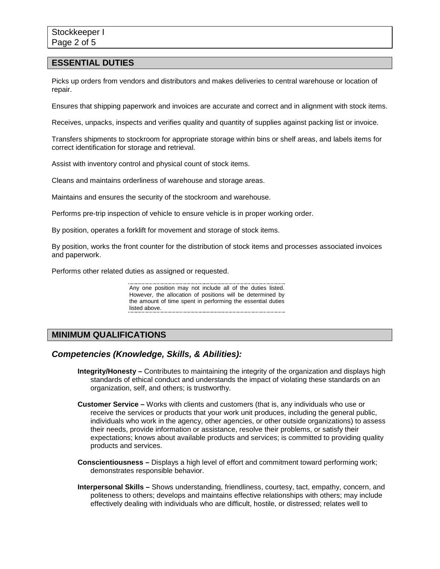#### **ESSENTIAL DUTIES**

Picks up orders from vendors and distributors and makes deliveries to central warehouse or location of repair.

Ensures that shipping paperwork and invoices are accurate and correct and in alignment with stock items.

Receives, unpacks, inspects and verifies quality and quantity of supplies against packing list or invoice.

Transfers shipments to stockroom for appropriate storage within bins or shelf areas, and labels items for correct identification for storage and retrieval.

Assist with inventory control and physical count of stock items.

Cleans and maintains orderliness of warehouse and storage areas.

Maintains and ensures the security of the stockroom and warehouse.

Performs pre-trip inspection of vehicle to ensure vehicle is in proper working order.

By position, operates a forklift for movement and storage of stock items.

By position, works the front counter for the distribution of stock items and processes associated invoices and paperwork.

Performs other related duties as assigned or requested.

Any one position may not include all of the duties listed. However, the allocation of positions will be determined by the amount of time spent in performing the essential duties listed above.

## **MINIMUM QUALIFICATIONS**

#### *Competencies (Knowledge, Skills, & Abilities):*

- **Integrity/Honesty –** Contributes to maintaining the integrity of the organization and displays high standards of ethical conduct and understands the impact of violating these standards on an organization, self, and others; is trustworthy.
- **Customer Service –** Works with clients and customers (that is, any individuals who use or receive the services or products that your work unit produces, including the general public, individuals who work in the agency, other agencies, or other outside organizations) to assess their needs, provide information or assistance, resolve their problems, or satisfy their expectations; knows about available products and services; is committed to providing quality products and services.
- **Conscientiousness –** Displays a high level of effort and commitment toward performing work; demonstrates responsible behavior.
- **Interpersonal Skills –** Shows understanding, friendliness, courtesy, tact, empathy, concern, and politeness to others; develops and maintains effective relationships with others; may include effectively dealing with individuals who are difficult, hostile, or distressed; relates well to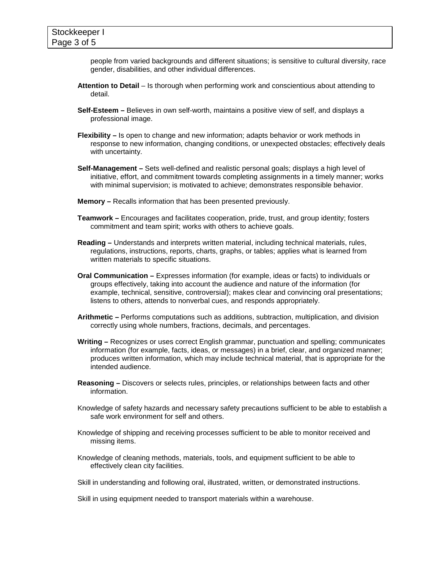people from varied backgrounds and different situations; is sensitive to cultural diversity, race gender, disabilities, and other individual differences.

- **Attention to Detail**  Is thorough when performing work and conscientious about attending to detail.
- **Self-Esteem –** Believes in own self-worth, maintains a positive view of self, and displays a professional image.
- **Flexibility –** Is open to change and new information; adapts behavior or work methods in response to new information, changing conditions, or unexpected obstacles; effectively deals with uncertainty.
- **Self-Management –** Sets well-defined and realistic personal goals; displays a high level of initiative, effort, and commitment towards completing assignments in a timely manner; works with minimal supervision; is motivated to achieve; demonstrates responsible behavior.
- **Memory –** Recalls information that has been presented previously.
- **Teamwork –** Encourages and facilitates cooperation, pride, trust, and group identity; fosters commitment and team spirit; works with others to achieve goals.
- **Reading –** Understands and interprets written material, including technical materials, rules, regulations, instructions, reports, charts, graphs, or tables; applies what is learned from written materials to specific situations.
- **Oral Communication –** Expresses information (for example, ideas or facts) to individuals or groups effectively, taking into account the audience and nature of the information (for example, technical, sensitive, controversial); makes clear and convincing oral presentations; listens to others, attends to nonverbal cues, and responds appropriately.
- **Arithmetic –** Performs computations such as additions, subtraction, multiplication, and division correctly using whole numbers, fractions, decimals, and percentages.
- **Writing –** Recognizes or uses correct English grammar, punctuation and spelling; communicates information (for example, facts, ideas, or messages) in a brief, clear, and organized manner; produces written information, which may include technical material, that is appropriate for the intended audience.
- **Reasoning –** Discovers or selects rules, principles, or relationships between facts and other information.
- Knowledge of safety hazards and necessary safety precautions sufficient to be able to establish a safe work environment for self and others.
- Knowledge of shipping and receiving processes sufficient to be able to monitor received and missing items.
- Knowledge of cleaning methods, materials, tools, and equipment sufficient to be able to effectively clean city facilities.
- Skill in understanding and following oral, illustrated, written, or demonstrated instructions.

Skill in using equipment needed to transport materials within a warehouse.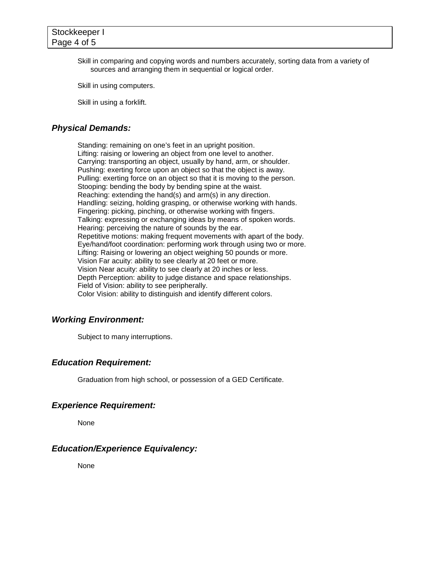Skill in comparing and copying words and numbers accurately, sorting data from a variety of sources and arranging them in sequential or logical order.

Skill in using computers.

Skill in using a forklift.

## *Physical Demands:*

Standing: remaining on one's feet in an upright position. Lifting: raising or lowering an object from one level to another. Carrying: transporting an object, usually by hand, arm, or shoulder. Pushing: exerting force upon an object so that the object is away. Pulling: exerting force on an object so that it is moving to the person. Stooping: bending the body by bending spine at the waist. Reaching: extending the hand(s) and arm(s) in any direction. Handling: seizing, holding grasping, or otherwise working with hands. Fingering: picking, pinching, or otherwise working with fingers. Talking: expressing or exchanging ideas by means of spoken words. Hearing: perceiving the nature of sounds by the ear. Repetitive motions: making frequent movements with apart of the body. Eye/hand/foot coordination: performing work through using two or more. Lifting: Raising or lowering an object weighing 50 pounds or more. Vision Far acuity: ability to see clearly at 20 feet or more. Vision Near acuity: ability to see clearly at 20 inches or less. Depth Perception: ability to judge distance and space relationships. Field of Vision: ability to see peripherally. Color Vision: ability to distinguish and identify different colors.

#### *Working Environment:*

Subject to many interruptions.

## *Education Requirement:*

Graduation from high school, or possession of a GED Certificate.

#### *Experience Requirement:*

None

#### *Education/Experience Equivalency:*

None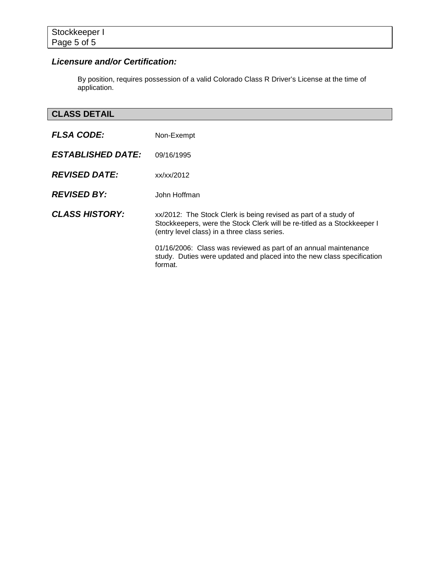# *Licensure and/or Certification:*

By position, requires possession of a valid Colorado Class R Driver's License at the time of application.

# **CLASS DETAIL**

| <b>FLSA CODE:</b>        | Non-Exempt                                                                                                                                                                                 |
|--------------------------|--------------------------------------------------------------------------------------------------------------------------------------------------------------------------------------------|
| <b>ESTABLISHED DATE:</b> | 09/16/1995                                                                                                                                                                                 |
| <b>REVISED DATE:</b>     | xx/xx/2012                                                                                                                                                                                 |
| <b>REVISED BY:</b>       | John Hoffman                                                                                                                                                                               |
| <b>CLASS HISTORY:</b>    | xx/2012: The Stock Clerk is being revised as part of a study of<br>Stockkeepers, were the Stock Clerk will be re-titled as a Stockkeeper I<br>(entry level class) in a three class series. |
|                          | 01/16/2006: Class was reviewed as part of an annual maintenance<br>study. Duties were updated and placed into the new class specification<br>format.                                       |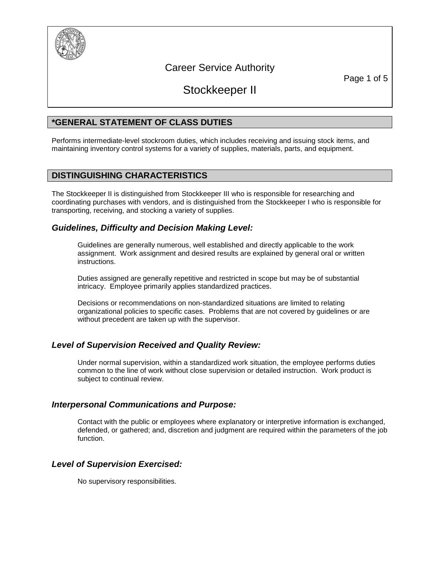

# Career Service Authority

Page 1 of 5

# Stockkeeper II

## **\*GENERAL STATEMENT OF CLASS DUTIES**

Performs intermediate-level stockroom duties, which includes receiving and issuing stock items, and maintaining inventory control systems for a variety of supplies, materials, parts, and equipment.

## **DISTINGUISHING CHARACTERISTICS**

The Stockkeeper II is distinguished from Stockkeeper III who is responsible for researching and coordinating purchases with vendors, and is distinguished from the Stockkeeper I who is responsible for transporting, receiving, and stocking a variety of supplies.

## *Guidelines, Difficulty and Decision Making Level:*

Guidelines are generally numerous, well established and directly applicable to the work assignment. Work assignment and desired results are explained by general oral or written instructions.

Duties assigned are generally repetitive and restricted in scope but may be of substantial intricacy. Employee primarily applies standardized practices.

Decisions or recommendations on non-standardized situations are limited to relating organizational policies to specific cases. Problems that are not covered by guidelines or are without precedent are taken up with the supervisor.

## *Level of Supervision Received and Quality Review:*

Under normal supervision, within a standardized work situation, the employee performs duties common to the line of work without close supervision or detailed instruction. Work product is subject to continual review.

## *Interpersonal Communications and Purpose:*

Contact with the public or employees where explanatory or interpretive information is exchanged, defended, or gathered; and, discretion and judgment are required within the parameters of the job function.

## *Level of Supervision Exercised:*

No supervisory responsibilities.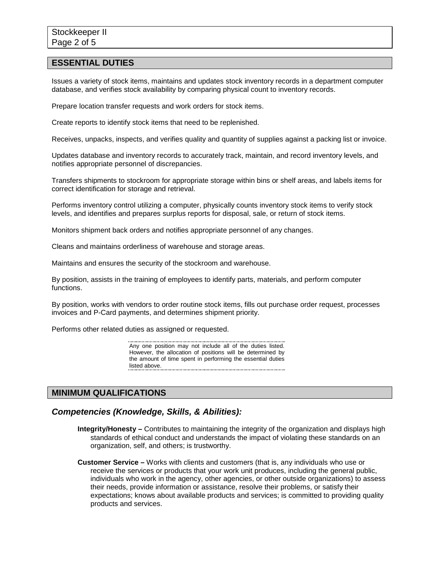#### **ESSENTIAL DUTIES**

Issues a variety of stock items, maintains and updates stock inventory records in a department computer database, and verifies stock availability by comparing physical count to inventory records.

Prepare location transfer requests and work orders for stock items.

Create reports to identify stock items that need to be replenished.

Receives, unpacks, inspects, and verifies quality and quantity of supplies against a packing list or invoice.

Updates database and inventory records to accurately track, maintain, and record inventory levels, and notifies appropriate personnel of discrepancies.

Transfers shipments to stockroom for appropriate storage within bins or shelf areas, and labels items for correct identification for storage and retrieval.

Performs inventory control utilizing a computer, physically counts inventory stock items to verify stock levels, and identifies and prepares surplus reports for disposal, sale, or return of stock items.

Monitors shipment back orders and notifies appropriate personnel of any changes.

Cleans and maintains orderliness of warehouse and storage areas.

Maintains and ensures the security of the stockroom and warehouse.

By position, assists in the training of employees to identify parts, materials, and perform computer functions.

By position, works with vendors to order routine stock items, fills out purchase order request, processes invoices and P-Card payments, and determines shipment priority.

Performs other related duties as assigned or requested.

Any one position may not include all of the duties listed. However, the allocation of positions will be determined by the amount of time spent in performing the essential duties listed above.

## **MINIMUM QUALIFICATIONS**

#### *Competencies (Knowledge, Skills, & Abilities):*

**Integrity/Honesty –** Contributes to maintaining the integrity of the organization and displays high standards of ethical conduct and understands the impact of violating these standards on an organization, self, and others; is trustworthy.

**Customer Service –** Works with clients and customers (that is, any individuals who use or receive the services or products that your work unit produces, including the general public, individuals who work in the agency, other agencies, or other outside organizations) to assess their needs, provide information or assistance, resolve their problems, or satisfy their expectations; knows about available products and services; is committed to providing quality products and services.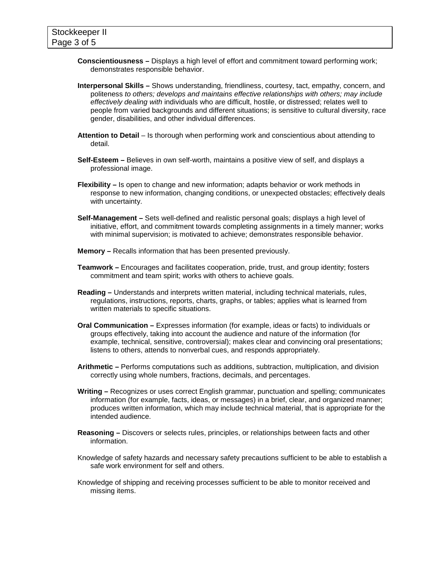- **Conscientiousness –** Displays a high level of effort and commitment toward performing work; demonstrates responsible behavior.
- **Interpersonal Skills –** Shows understanding, friendliness, courtesy, tact, empathy, concern, and politeness *to others; develops and maintains effective relationships with others; may include effectively dealing with* individuals who are difficult, hostile, or distressed; relates well to people from varied backgrounds and different situations; is sensitive to cultural diversity, race gender, disabilities, and other individual differences.
- **Attention to Detail**  Is thorough when performing work and conscientious about attending to detail.
- **Self-Esteem –** Believes in own self-worth, maintains a positive view of self, and displays a professional image.
- **Flexibility –** Is open to change and new information; adapts behavior or work methods in response to new information, changing conditions, or unexpected obstacles; effectively deals with uncertainty.
- **Self-Management –** Sets well-defined and realistic personal goals; displays a high level of initiative, effort, and commitment towards completing assignments in a timely manner; works with minimal supervision; is motivated to achieve; demonstrates responsible behavior.
- **Memory –** Recalls information that has been presented previously.
- **Teamwork –** Encourages and facilitates cooperation, pride, trust, and group identity; fosters commitment and team spirit; works with others to achieve goals.
- **Reading –** Understands and interprets written material, including technical materials, rules, regulations, instructions, reports, charts, graphs, or tables; applies what is learned from written materials to specific situations.
- **Oral Communication –** Expresses information (for example, ideas or facts) to individuals or groups effectively, taking into account the audience and nature of the information (for example, technical, sensitive, controversial); makes clear and convincing oral presentations; listens to others, attends to nonverbal cues, and responds appropriately.
- **Arithmetic –** Performs computations such as additions, subtraction, multiplication, and division correctly using whole numbers, fractions, decimals, and percentages.
- **Writing –** Recognizes or uses correct English grammar, punctuation and spelling; communicates information (for example, facts, ideas, or messages) in a brief, clear, and organized manner; produces written information, which may include technical material, that is appropriate for the intended audience.
- **Reasoning –** Discovers or selects rules, principles, or relationships between facts and other information.
- Knowledge of safety hazards and necessary safety precautions sufficient to be able to establish a safe work environment for self and others.
- Knowledge of shipping and receiving processes sufficient to be able to monitor received and missing items.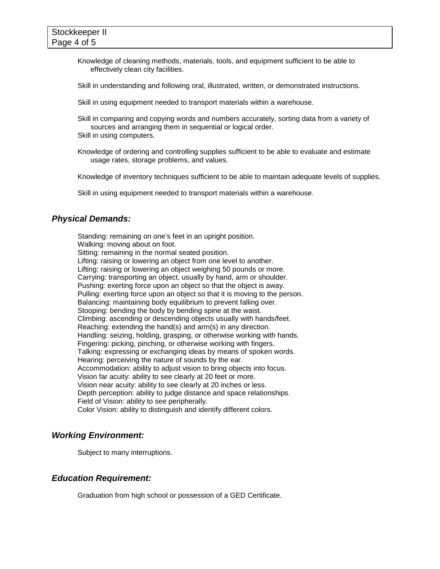Knowledge of cleaning methods, materials, tools, and equipment sufficient to be able to effectively clean city facilities.

Skill in understanding and following oral, illustrated, written, or demonstrated instructions.

Skill in using equipment needed to transport materials within a warehouse.

Skill in comparing and copying words and numbers accurately, sorting data from a variety of sources and arranging them in sequential or logical order. Skill in using computers.

Knowledge of ordering and controlling supplies sufficient to be able to evaluate and estimate usage rates, storage problems, and values.

Knowledge of inventory techniques sufficient to be able to maintain adequate levels of supplies.

Skill in using equipment needed to transport materials within a warehouse.

## *Physical Demands:*

Standing: remaining on one's feet in an upright position. Walking: moving about on foot. Sitting: remaining in the normal seated position. Lifting: raising or lowering an object from one level to another. Lifting: raising or lowering an object weighing 50 pounds or more. Carrying: transporting an object, usually by hand, arm or shoulder. Pushing: exerting force upon an object so that the object is away. Pulling: exerting force upon an object so that it is moving to the person. Balancing: maintaining body equilibrium to prevent falling over. Stooping: bending the body by bending spine at the waist. Climbing: ascending or descending objects usually with hands/feet. Reaching: extending the hand(s) and arm(s) in any direction. Handling: seizing, holding, grasping, or otherwise working with hands. Fingering: picking, pinching, or otherwise working with fingers. Talking: expressing or exchanging ideas by means of spoken words. Hearing: perceiving the nature of sounds by the ear. Accommodation: ability to adjust vision to bring objects into focus. Vision far acuity: ability to see clearly at 20 feet or more. Vision near acuity: ability to see clearly at 20 inches or less. Depth perception: ability to judge distance and space relationships. Field of Vision: ability to see peripherally. Color Vision: ability to distinguish and identify different colors.

## *Working Environment:*

Subject to many interruptions.

## *Education Requirement:*

Graduation from high school or possession of a GED Certificate.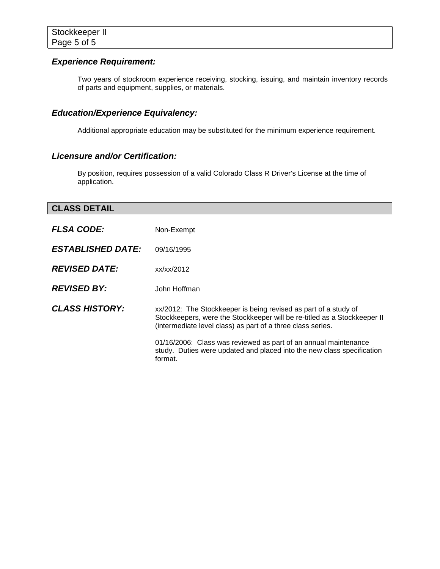## *Experience Requirement:*

Two years of stockroom experience receiving, stocking, issuing, and maintain inventory records of parts and equipment, supplies, or materials.

# *Education/Experience Equivalency:*

Additional appropriate education may be substituted for the minimum experience requirement.

## *Licensure and/or Certification:*

By position, requires possession of a valid Colorado Class R Driver's License at the time of application.

## **CLASS DETAIL**

| <b>FLSA CODE:</b>        | Non-Exempt                                                                                                                                                                                                 |
|--------------------------|------------------------------------------------------------------------------------------------------------------------------------------------------------------------------------------------------------|
| <b>ESTABLISHED DATE:</b> | 09/16/1995                                                                                                                                                                                                 |
| <b>REVISED DATE:</b>     | xx/xx/2012                                                                                                                                                                                                 |
| <b>REVISED BY:</b>       | John Hoffman                                                                                                                                                                                               |
| <b>CLASS HISTORY:</b>    | xx/2012: The Stockkeeper is being revised as part of a study of<br>Stockkeepers, were the Stockkeeper will be re-titled as a Stockkeeper II<br>(intermediate level class) as part of a three class series. |
|                          | 01/16/2006: Class was reviewed as part of an annual maintenance<br>study. Duties were updated and placed into the new class specification<br>format.                                                       |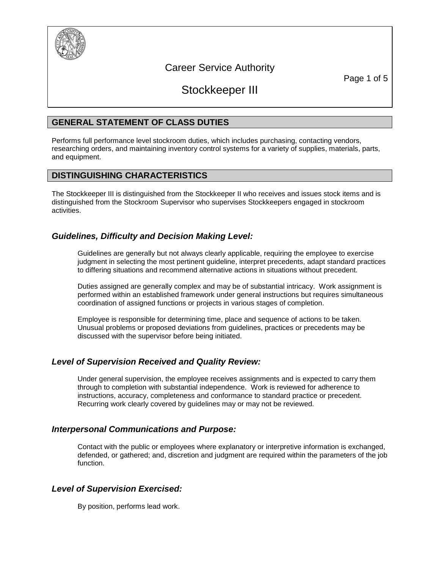

# Career Service Authority

Page 1 of 5

# Stockkeeper III

## **GENERAL STATEMENT OF CLASS DUTIES**

Performs full performance level stockroom duties, which includes purchasing, contacting vendors, researching orders, and maintaining inventory control systems for a variety of supplies, materials, parts, and equipment.

## **DISTINGUISHING CHARACTERISTICS**

The Stockkeeper III is distinguished from the Stockkeeper II who receives and issues stock items and is distinguished from the Stockroom Supervisor who supervises Stockkeepers engaged in stockroom activities.

## *Guidelines, Difficulty and Decision Making Level:*

Guidelines are generally but not always clearly applicable, requiring the employee to exercise iudament in selecting the most pertinent guideline, interpret precedents, adapt standard practices to differing situations and recommend alternative actions in situations without precedent.

Duties assigned are generally complex and may be of substantial intricacy. Work assignment is performed within an established framework under general instructions but requires simultaneous coordination of assigned functions or projects in various stages of completion.

Employee is responsible for determining time, place and sequence of actions to be taken. Unusual problems or proposed deviations from guidelines, practices or precedents may be discussed with the supervisor before being initiated.

## *Level of Supervision Received and Quality Review:*

Under general supervision, the employee receives assignments and is expected to carry them through to completion with substantial independence. Work is reviewed for adherence to instructions, accuracy, completeness and conformance to standard practice or precedent. Recurring work clearly covered by guidelines may or may not be reviewed.

## *Interpersonal Communications and Purpose:*

Contact with the public or employees where explanatory or interpretive information is exchanged, defended, or gathered; and, discretion and judgment are required within the parameters of the job function.

## *Level of Supervision Exercised:*

By position, performs lead work.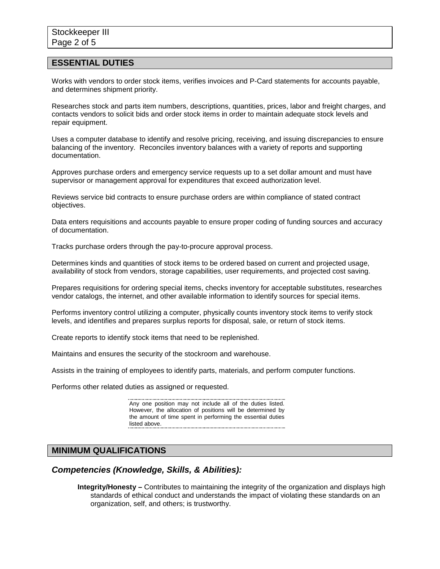#### **ESSENTIAL DUTIES**

Works with vendors to order stock items, verifies invoices and P-Card statements for accounts payable, and determines shipment priority.

Researches stock and parts item numbers, descriptions, quantities, prices, labor and freight charges, and contacts vendors to solicit bids and order stock items in order to maintain adequate stock levels and repair equipment.

Uses a computer database to identify and resolve pricing, receiving, and issuing discrepancies to ensure balancing of the inventory. Reconciles inventory balances with a variety of reports and supporting documentation.

Approves purchase orders and emergency service requests up to a set dollar amount and must have supervisor or management approval for expenditures that exceed authorization level.

Reviews service bid contracts to ensure purchase orders are within compliance of stated contract objectives.

Data enters requisitions and accounts payable to ensure proper coding of funding sources and accuracy of documentation.

Tracks purchase orders through the pay-to-procure approval process.

Determines kinds and quantities of stock items to be ordered based on current and projected usage, availability of stock from vendors, storage capabilities, user requirements, and projected cost saving.

Prepares requisitions for ordering special items, checks inventory for acceptable substitutes, researches vendor catalogs, the internet, and other available information to identify sources for special items.

Performs inventory control utilizing a computer, physically counts inventory stock items to verify stock levels, and identifies and prepares surplus reports for disposal, sale, or return of stock items.

Create reports to identify stock items that need to be replenished.

Maintains and ensures the security of the stockroom and warehouse.

Assists in the training of employees to identify parts, materials, and perform computer functions.

Performs other related duties as assigned or requested.

Any one position may not include all of the duties listed. However, the allocation of positions will be determined by the amount of time spent in performing the essential duties listed above. 

#### **MINIMUM QUALIFICATIONS**

#### *Competencies (Knowledge, Skills, & Abilities):*

**Integrity/Honesty –** Contributes to maintaining the integrity of the organization and displays high standards of ethical conduct and understands the impact of violating these standards on an organization, self, and others; is trustworthy.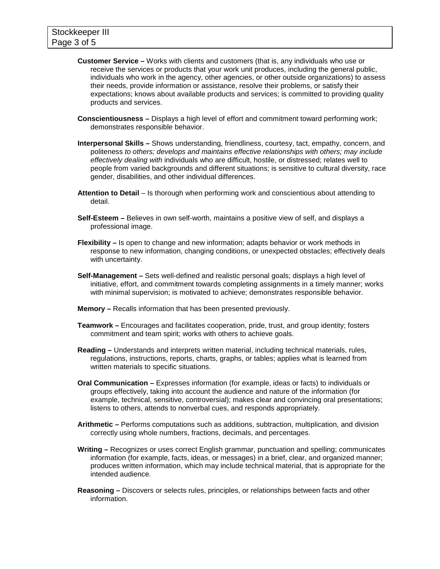- **Customer Service –** Works with clients and customers (that is, any individuals who use or receive the services or products that your work unit produces, including the general public, individuals who work in the agency, other agencies, or other outside organizations) to assess their needs, provide information or assistance, resolve their problems, or satisfy their expectations; knows about available products and services; is committed to providing quality products and services.
- **Conscientiousness –** Displays a high level of effort and commitment toward performing work; demonstrates responsible behavior.
- **Interpersonal Skills –** Shows understanding, friendliness, courtesy, tact, empathy, concern, and politeness *to others; develops and maintains effective relationships with others; may include effectively dealing with* individuals who are difficult, hostile, or distressed; relates well to people from varied backgrounds and different situations; is sensitive to cultural diversity, race gender, disabilities, and other individual differences.
- **Attention to Detail**  Is thorough when performing work and conscientious about attending to detail.
- **Self-Esteem –** Believes in own self-worth, maintains a positive view of self, and displays a professional image.
- **Flexibility –** Is open to change and new information; adapts behavior or work methods in response to new information, changing conditions, or unexpected obstacles; effectively deals with uncertainty.
- **Self-Management –** Sets well-defined and realistic personal goals; displays a high level of initiative, effort, and commitment towards completing assignments in a timely manner; works with minimal supervision; is motivated to achieve; demonstrates responsible behavior.
- **Memory –** Recalls information that has been presented previously.
- **Teamwork –** Encourages and facilitates cooperation, pride, trust, and group identity; fosters commitment and team spirit; works with others to achieve goals.
- **Reading –** Understands and interprets written material, including technical materials, rules, regulations, instructions, reports, charts, graphs, or tables; applies what is learned from written materials to specific situations.
- **Oral Communication –** Expresses information (for example, ideas or facts) to individuals or groups effectively, taking into account the audience and nature of the information (for example, technical, sensitive, controversial); makes clear and convincing oral presentations; listens to others, attends to nonverbal cues, and responds appropriately.
- **Arithmetic –** Performs computations such as additions, subtraction, multiplication, and division correctly using whole numbers, fractions, decimals, and percentages.
- **Writing –** Recognizes or uses correct English grammar, punctuation and spelling; communicates information (for example, facts, ideas, or messages) in a brief, clear, and organized manner; produces written information, which may include technical material, that is appropriate for the intended audience.
- **Reasoning –** Discovers or selects rules, principles, or relationships between facts and other information.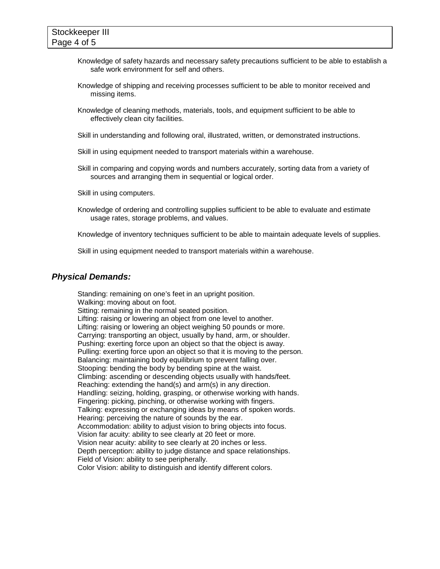- Knowledge of safety hazards and necessary safety precautions sufficient to be able to establish a safe work environment for self and others.
- Knowledge of shipping and receiving processes sufficient to be able to monitor received and missing items.
- Knowledge of cleaning methods, materials, tools, and equipment sufficient to be able to effectively clean city facilities.
- Skill in understanding and following oral, illustrated, written, or demonstrated instructions.
- Skill in using equipment needed to transport materials within a warehouse.
- Skill in comparing and copying words and numbers accurately, sorting data from a variety of sources and arranging them in sequential or logical order.
- Skill in using computers.
- Knowledge of ordering and controlling supplies sufficient to be able to evaluate and estimate usage rates, storage problems, and values.
- Knowledge of inventory techniques sufficient to be able to maintain adequate levels of supplies.
- Skill in using equipment needed to transport materials within a warehouse.

#### *Physical Demands:*

Standing: remaining on one's feet in an upright position. Walking: moving about on foot. Sitting: remaining in the normal seated position. Lifting: raising or lowering an object from one level to another. Lifting: raising or lowering an object weighing 50 pounds or more. Carrying: transporting an object, usually by hand, arm, or shoulder. Pushing: exerting force upon an object so that the object is away. Pulling: exerting force upon an object so that it is moving to the person. Balancing: maintaining body equilibrium to prevent falling over. Stooping: bending the body by bending spine at the waist. Climbing: ascending or descending objects usually with hands/feet. Reaching: extending the hand(s) and arm(s) in any direction. Handling: seizing, holding, grasping, or otherwise working with hands. Fingering: picking, pinching, or otherwise working with fingers. Talking: expressing or exchanging ideas by means of spoken words. Hearing: perceiving the nature of sounds by the ear. Accommodation: ability to adjust vision to bring objects into focus. Vision far acuity: ability to see clearly at 20 feet or more. Vision near acuity: ability to see clearly at 20 inches or less. Depth perception: ability to judge distance and space relationships. Field of Vision: ability to see peripherally. Color Vision: ability to distinguish and identify different colors.